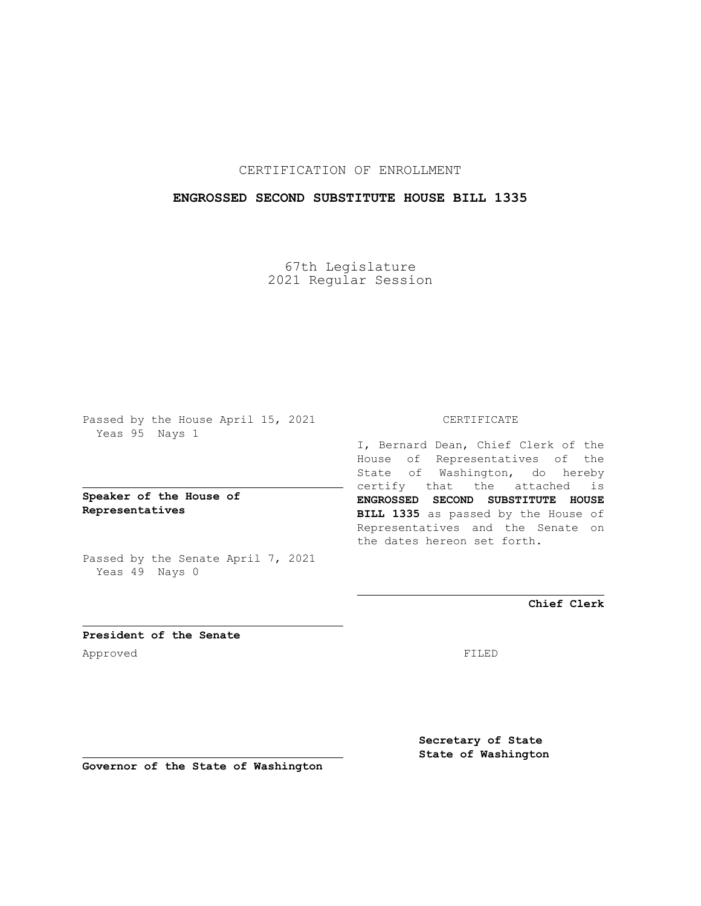## CERTIFICATION OF ENROLLMENT

### **ENGROSSED SECOND SUBSTITUTE HOUSE BILL 1335**

67th Legislature 2021 Regular Session

Passed by the House April 15, 2021 Yeas 95 Nays 1

**Speaker of the House of Representatives**

Passed by the Senate April 7, 2021 Yeas 49 Nays 0

#### CERTIFICATE

I, Bernard Dean, Chief Clerk of the House of Representatives of the State of Washington, do hereby certify that the attached is **ENGROSSED SECOND SUBSTITUTE HOUSE BILL 1335** as passed by the House of Representatives and the Senate on the dates hereon set forth.

**Chief Clerk**

**President of the Senate** Approved FILED

**Secretary of State State of Washington**

**Governor of the State of Washington**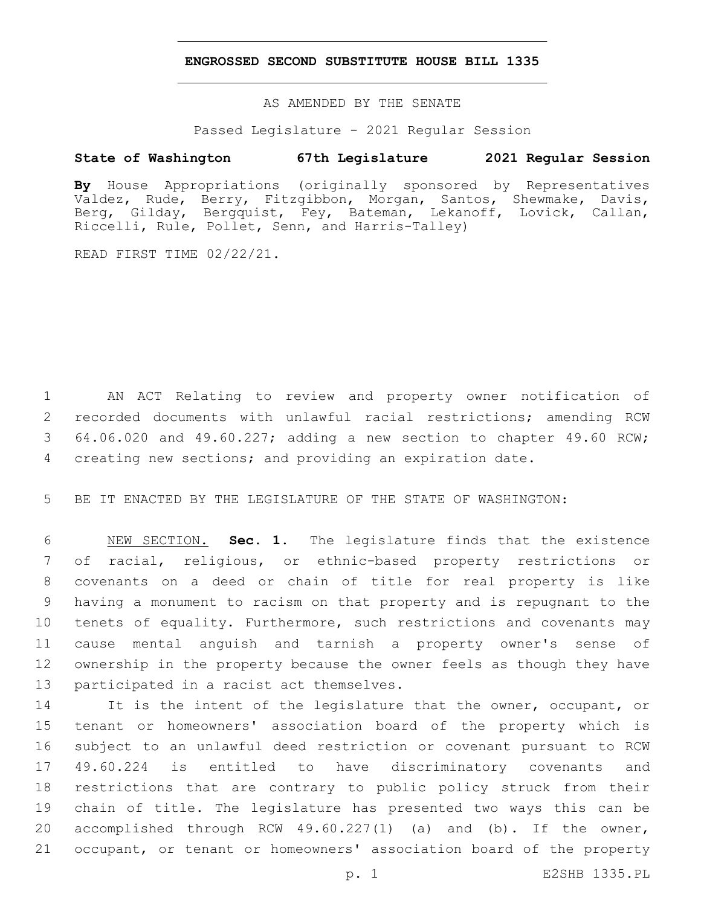### **ENGROSSED SECOND SUBSTITUTE HOUSE BILL 1335**

AS AMENDED BY THE SENATE

Passed Legislature - 2021 Regular Session

## **State of Washington 67th Legislature 2021 Regular Session**

**By** House Appropriations (originally sponsored by Representatives Valdez, Rude, Berry, Fitzgibbon, Morgan, Santos, Shewmake, Davis, Berg, Gilday, Bergquist, Fey, Bateman, Lekanoff, Lovick, Callan, Riccelli, Rule, Pollet, Senn, and Harris-Talley)

READ FIRST TIME 02/22/21.

 AN ACT Relating to review and property owner notification of recorded documents with unlawful racial restrictions; amending RCW 64.06.020 and 49.60.227; adding a new section to chapter 49.60 RCW; creating new sections; and providing an expiration date.

BE IT ENACTED BY THE LEGISLATURE OF THE STATE OF WASHINGTON:

 NEW SECTION. **Sec. 1.** The legislature finds that the existence of racial, religious, or ethnic-based property restrictions or covenants on a deed or chain of title for real property is like having a monument to racism on that property and is repugnant to the tenets of equality. Furthermore, such restrictions and covenants may cause mental anguish and tarnish a property owner's sense of ownership in the property because the owner feels as though they have participated in a racist act themselves.

14 It is the intent of the legislature that the owner, occupant, or tenant or homeowners' association board of the property which is subject to an unlawful deed restriction or covenant pursuant to RCW 49.60.224 is entitled to have discriminatory covenants and restrictions that are contrary to public policy struck from their chain of title. The legislature has presented two ways this can be 20 accomplished through RCW 49.60.227(1) (a) and (b). If the owner, occupant, or tenant or homeowners' association board of the property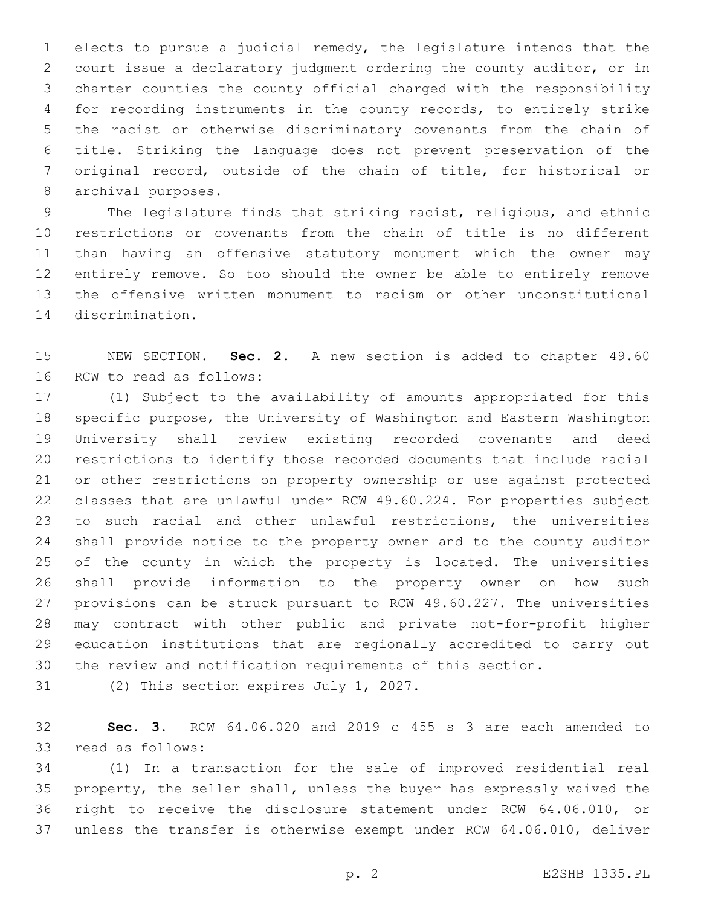elects to pursue a judicial remedy, the legislature intends that the court issue a declaratory judgment ordering the county auditor, or in charter counties the county official charged with the responsibility for recording instruments in the county records, to entirely strike the racist or otherwise discriminatory covenants from the chain of title. Striking the language does not prevent preservation of the original record, outside of the chain of title, for historical or 8 archival purposes.

 The legislature finds that striking racist, religious, and ethnic restrictions or covenants from the chain of title is no different than having an offensive statutory monument which the owner may entirely remove. So too should the owner be able to entirely remove the offensive written monument to racism or other unconstitutional 14 discrimination.

 NEW SECTION. **Sec. 2.** A new section is added to chapter 49.60 16 RCW to read as follows:

 (1) Subject to the availability of amounts appropriated for this specific purpose, the University of Washington and Eastern Washington University shall review existing recorded covenants and deed restrictions to identify those recorded documents that include racial or other restrictions on property ownership or use against protected classes that are unlawful under RCW 49.60.224. For properties subject to such racial and other unlawful restrictions, the universities shall provide notice to the property owner and to the county auditor of the county in which the property is located. The universities shall provide information to the property owner on how such provisions can be struck pursuant to RCW 49.60.227. The universities may contract with other public and private not-for-profit higher education institutions that are regionally accredited to carry out the review and notification requirements of this section.

31 (2) This section expires July 1, 2027.

 **Sec. 3.** RCW 64.06.020 and 2019 c 455 s 3 are each amended to 33 read as follows:

 (1) In a transaction for the sale of improved residential real property, the seller shall, unless the buyer has expressly waived the right to receive the disclosure statement under RCW 64.06.010, or unless the transfer is otherwise exempt under RCW 64.06.010, deliver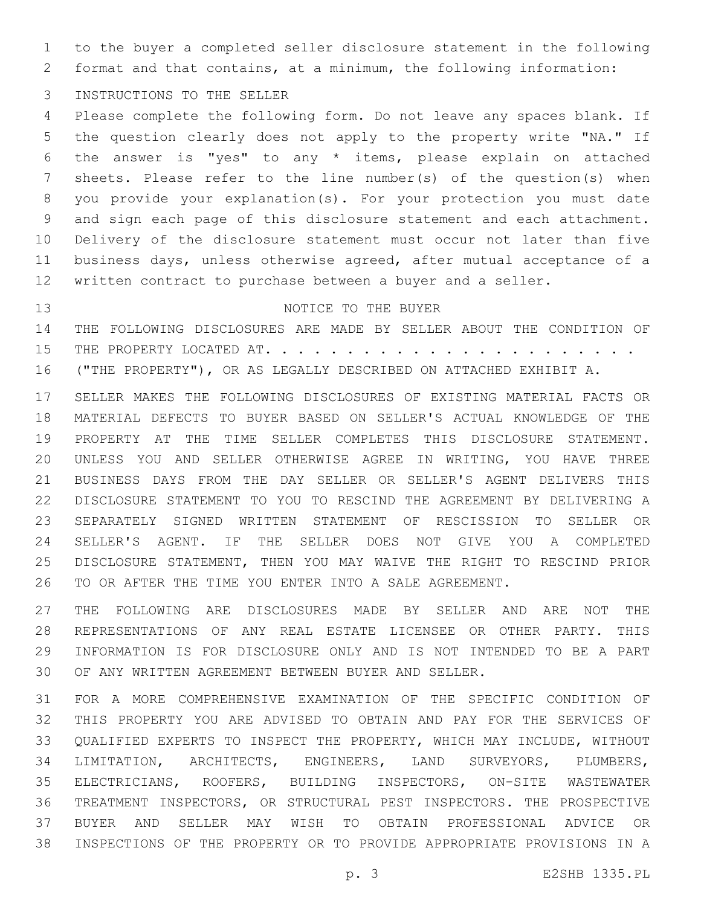to the buyer a completed seller disclosure statement in the following format and that contains, at a minimum, the following information:

3 INSTRUCTIONS TO THE SELLER

 Please complete the following form. Do not leave any spaces blank. If the question clearly does not apply to the property write "NA." If the answer is "yes" to any \* items, please explain on attached sheets. Please refer to the line number(s) of the question(s) when you provide your explanation(s). For your protection you must date and sign each page of this disclosure statement and each attachment. Delivery of the disclosure statement must occur not later than five business days, unless otherwise agreed, after mutual acceptance of a written contract to purchase between a buyer and a seller.

# 13 NOTICE TO THE BUYER

 THE FOLLOWING DISCLOSURES ARE MADE BY SELLER ABOUT THE CONDITION OF THE PROPERTY LOCATED AT. . . . . . . . . . . . . . . . . . . . . . . ("THE PROPERTY"), OR AS LEGALLY DESCRIBED ON ATTACHED EXHIBIT A.

 SELLER MAKES THE FOLLOWING DISCLOSURES OF EXISTING MATERIAL FACTS OR MATERIAL DEFECTS TO BUYER BASED ON SELLER'S ACTUAL KNOWLEDGE OF THE PROPERTY AT THE TIME SELLER COMPLETES THIS DISCLOSURE STATEMENT. UNLESS YOU AND SELLER OTHERWISE AGREE IN WRITING, YOU HAVE THREE BUSINESS DAYS FROM THE DAY SELLER OR SELLER'S AGENT DELIVERS THIS DISCLOSURE STATEMENT TO YOU TO RESCIND THE AGREEMENT BY DELIVERING A SEPARATELY SIGNED WRITTEN STATEMENT OF RESCISSION TO SELLER OR SELLER'S AGENT. IF THE SELLER DOES NOT GIVE YOU A COMPLETED DISCLOSURE STATEMENT, THEN YOU MAY WAIVE THE RIGHT TO RESCIND PRIOR TO OR AFTER THE TIME YOU ENTER INTO A SALE AGREEMENT.

 THE FOLLOWING ARE DISCLOSURES MADE BY SELLER AND ARE NOT THE REPRESENTATIONS OF ANY REAL ESTATE LICENSEE OR OTHER PARTY. THIS INFORMATION IS FOR DISCLOSURE ONLY AND IS NOT INTENDED TO BE A PART OF ANY WRITTEN AGREEMENT BETWEEN BUYER AND SELLER.

 FOR A MORE COMPREHENSIVE EXAMINATION OF THE SPECIFIC CONDITION OF THIS PROPERTY YOU ARE ADVISED TO OBTAIN AND PAY FOR THE SERVICES OF QUALIFIED EXPERTS TO INSPECT THE PROPERTY, WHICH MAY INCLUDE, WITHOUT LIMITATION, ARCHITECTS, ENGINEERS, LAND SURVEYORS, PLUMBERS, ELECTRICIANS, ROOFERS, BUILDING INSPECTORS, ON-SITE WASTEWATER TREATMENT INSPECTORS, OR STRUCTURAL PEST INSPECTORS. THE PROSPECTIVE BUYER AND SELLER MAY WISH TO OBTAIN PROFESSIONAL ADVICE OR INSPECTIONS OF THE PROPERTY OR TO PROVIDE APPROPRIATE PROVISIONS IN A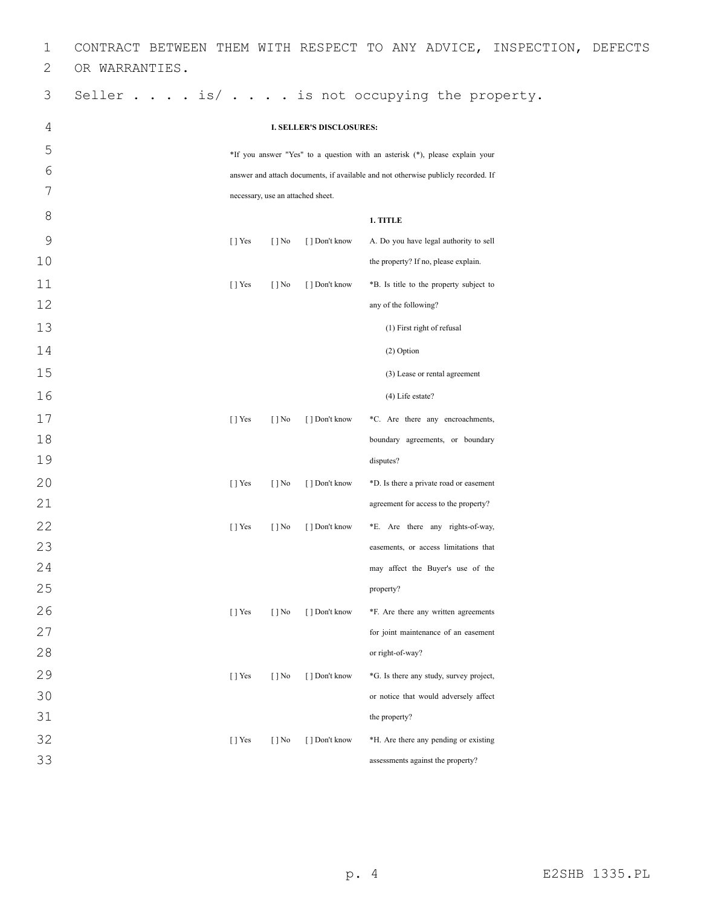| 1            |                                                                              |                           |                          |                                   | CONTRACT BETWEEN THEM WITH RESPECT TO ANY ADVICE, INSPECTION, DEFECTS             |  |  |
|--------------|------------------------------------------------------------------------------|---------------------------|--------------------------|-----------------------------------|-----------------------------------------------------------------------------------|--|--|
| $\mathbf{2}$ | OR WARRANTIES.                                                               |                           |                          |                                   |                                                                                   |  |  |
| 3            |                                                                              |                           |                          |                                   | Seller $\ldots$ is/ $\ldots$ is not occupying the property.                       |  |  |
| 4            |                                                                              |                           |                          | <b>I. SELLER'S DISCLOSURES:</b>   |                                                                                   |  |  |
| 5            | *If you answer "Yes" to a question with an asterisk (*), please explain your |                           |                          |                                   |                                                                                   |  |  |
| 6            |                                                                              |                           |                          |                                   | answer and attach documents, if available and not otherwise publicly recorded. If |  |  |
| 7            |                                                                              |                           |                          | necessary, use an attached sheet. |                                                                                   |  |  |
| 8            |                                                                              |                           |                          |                                   | 1. TITLE                                                                          |  |  |
| 9            |                                                                              | [ ] Yes                   | $\lceil \cdot \rceil$ No | [ ] Don't know                    | A. Do you have legal authority to sell                                            |  |  |
| 10           |                                                                              |                           |                          |                                   | the property? If no, please explain.                                              |  |  |
| 11           |                                                                              | $\lceil \cdot \rceil$ Yes | $\lceil \cdot \rceil$ No | [] Don't know                     | *B. Is title to the property subject to                                           |  |  |
| 12           |                                                                              |                           |                          |                                   | any of the following?                                                             |  |  |
| 13           |                                                                              |                           |                          |                                   | (1) First right of refusal                                                        |  |  |
| 14           |                                                                              |                           |                          |                                   | (2) Option                                                                        |  |  |
| 15           |                                                                              |                           |                          |                                   | (3) Lease or rental agreement                                                     |  |  |
| 16           |                                                                              |                           |                          |                                   | (4) Life estate?                                                                  |  |  |
| 17           |                                                                              | [ ] Yes                   | $\lceil \cdot \rceil$ No | [ ] Don't know                    | *C. Are there any encroachments,                                                  |  |  |
| 18           |                                                                              |                           |                          |                                   | boundary agreements, or boundary                                                  |  |  |
| 19           |                                                                              |                           |                          |                                   | disputes?                                                                         |  |  |
| 20           |                                                                              | $\lceil$   Yes            | $\lceil \cdot \rceil$ No | [] Don't know                     | *D. Is there a private road or easement                                           |  |  |
| 21           |                                                                              |                           |                          |                                   | agreement for access to the property?                                             |  |  |
| 22           |                                                                              | [ ] Yes                   | $\lceil \cdot \rceil$ No | [] Don't know                     | *E. Are there any rights-of-way,                                                  |  |  |
| 23           |                                                                              |                           |                          |                                   | easements, or access limitations that                                             |  |  |
| 24           |                                                                              |                           |                          |                                   | may affect the Buyer's use of the                                                 |  |  |
| 25           |                                                                              |                           |                          |                                   | property?                                                                         |  |  |
| 26           |                                                                              | [ ] Yes                   | $\lceil \cdot \rceil$ No | [ ] Don't know                    | *F. Are there any written agreements                                              |  |  |
| 27           |                                                                              |                           |                          |                                   | for joint maintenance of an easement                                              |  |  |
| 28           |                                                                              |                           |                          |                                   | or right-of-way?                                                                  |  |  |
| 29           |                                                                              | $\lceil$   Yes            | $\lceil \cdot \rceil$ No | [] Don't know                     | *G. Is there any study, survey project,                                           |  |  |
| 30           |                                                                              |                           |                          |                                   | or notice that would adversely affect                                             |  |  |
| 31           |                                                                              |                           |                          |                                   | the property?                                                                     |  |  |
| 32           |                                                                              | $\lceil \cdot \rceil$ Yes | $\lceil \cdot \rceil$ No | [] Don't know                     | *H. Are there any pending or existing                                             |  |  |
| 33           |                                                                              |                           |                          |                                   | assessments against the property?                                                 |  |  |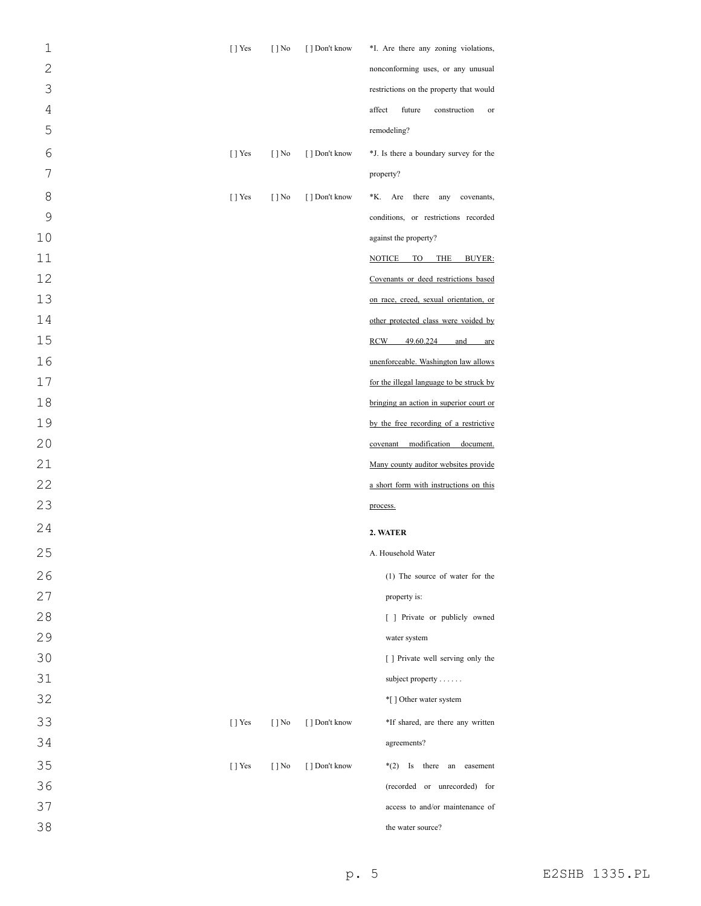| $\mathbf 1$    | [] Yes         | $[ ]$ No                 | [ ] Don't know | *I. Are there any zoning violations,     |
|----------------|----------------|--------------------------|----------------|------------------------------------------|
| $\overline{2}$ |                |                          |                | nonconforming uses, or any unusual       |
| 3              |                |                          |                | restrictions on the property that would  |
| $\sqrt{4}$     |                |                          |                | affect<br>future<br>construction<br>or   |
| 5              |                |                          |                | remodeling?                              |
| 6              | [] Yes         | $\lceil \cdot \rceil$ No | [] Don't know  | *J. Is there a boundary survey for the   |
| 7              |                |                          |                | property?                                |
| 8              | $[$ ] Yes      | $[$   No                 | [] Don't know  | Are<br>there any<br>*K.<br>covenants,    |
| 9              |                |                          |                | conditions, or restrictions recorded     |
| 10             |                |                          |                | against the property?                    |
| 11             |                |                          |                | NOTICE<br>TO T<br>THE<br><b>BUYER:</b>   |
| 12             |                |                          |                | Covenants or deed restrictions based     |
| 13             |                |                          |                | on race, creed, sexual orientation, or   |
| 14             |                |                          |                | other protected class were voided by     |
| 15             |                |                          |                | RCW<br>49.60.224<br>and<br>are           |
| 16             |                |                          |                | unenforceable. Washington law allows     |
| 17             |                |                          |                | for the illegal language to be struck by |
| 18             |                |                          |                | bringing an action in superior court or  |
| 19             |                |                          |                | by the free recording of a restrictive   |
| 20             |                |                          |                | covenant modification document.          |
| 21             |                |                          |                | Many county auditor websites provide     |
| 22             |                |                          |                | a short form with instructions on this   |
| 23             |                |                          |                | process.                                 |
| 24             |                |                          |                | 2. WATER                                 |
| 25             |                |                          |                | A. Household Water                       |
| 26             |                |                          |                | (1) The source of water for the          |
| 27             |                |                          |                | property is:                             |
| 28             |                |                          |                | [ ] Private or publicly owned            |
| 29             |                |                          |                | water system                             |
| 30             |                |                          |                | [ ] Private well serving only the        |
| 31             |                |                          |                | subject property                         |
| 32             |                |                          |                | *[] Other water system                   |
| 33             | $\lceil$   Yes | $\lceil \cdot \rceil$ No | [ ] Don't know | *If shared, are there any written        |
| 34             |                |                          |                | agreements?                              |
| 35             | [] Yes         | $\lceil \cdot \rceil$ No | [ ] Don't know | $*(2)$ Is there an easement              |
| 36             |                |                          |                | (recorded or unrecorded) for             |
| 37             |                |                          |                | access to and/or maintenance of          |
| 38             |                |                          |                | the water source?                        |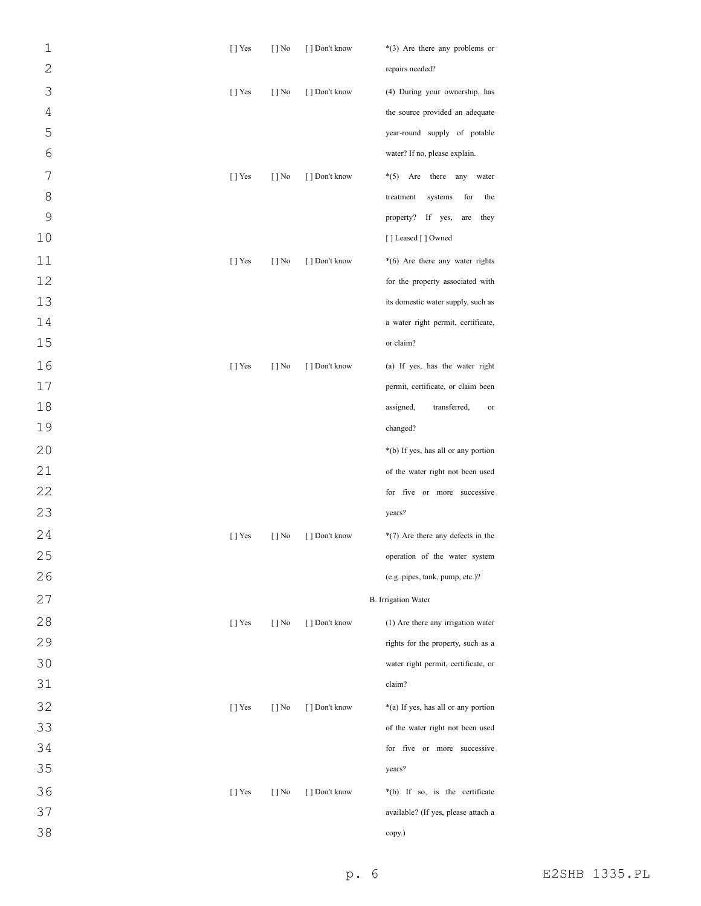| $\mathbf 1$    | $[$ T Yes | $[ ]$ No                 | [ ] Don't know | $*(3)$ Are there any problems or    |
|----------------|-----------|--------------------------|----------------|-------------------------------------|
| $\overline{c}$ |           |                          |                | repairs needed?                     |
| 3              | $[$ ] Yes | $[ ]$ No                 | [ ] Don't know | (4) During your ownership, has      |
| $\sqrt{4}$     |           |                          |                | the source provided an adequate     |
| 5              |           |                          |                | year-round supply of potable        |
| 6              |           |                          |                | water? If no, please explain.       |
| 7              | $[$ ] Yes | $[ ]$ No                 | [] Don't know  | $*(5)$ Are there any<br>water       |
| 8              |           |                          |                | treatment<br>systems<br>for<br>the  |
| 9              |           |                          |                | property? If yes,<br>they<br>are    |
| 10             |           |                          |                | [] Leased [] Owned                  |
| 11             | $[$ ] Yes | $[ ]$ No                 | [ ] Don't know | *(6) Are there any water rights     |
| 12             |           |                          |                | for the property associated with    |
| 13             |           |                          |                | its domestic water supply, such as  |
| 14             |           |                          |                | a water right permit, certificate,  |
| 15             |           |                          |                | or claim?                           |
| 16             | $[$ ] Yes | $[ ]$ No                 | [ ] Don't know | (a) If yes, has the water right     |
| 17             |           |                          |                | permit, certificate, or claim been  |
| 18             |           |                          |                | transferred,<br>assigned,<br>or     |
| 19             |           |                          |                | changed?                            |
| 20             |           |                          |                | *(b) If yes, has all or any portion |
| 21             |           |                          |                | of the water right not been used    |
| 22             |           |                          |                | for five or more successive         |
| 23             |           |                          |                | years?                              |
| 24             | $[$ T Yes | $[ ]$ No                 | [] Don't know  | *(7) Are there any defects in the   |
| 25             |           |                          |                | operation of the water system       |
| 26             |           |                          |                | (e.g. pipes, tank, pump, etc.)?     |
| 27             |           |                          |                | <b>B.</b> Irrigation Water          |
| 28             | $[$ ] Yes | $\lceil \cdot \rceil$ No | [ ] Don't know | (1) Are there any irrigation water  |
| 29             |           |                          |                | rights for the property, such as a  |
| 30             |           |                          |                | water right permit, certificate, or |
| 31             |           |                          |                | claim?                              |
| 32             | [ ] Yes   | $[ ]$ No                 | [ ] Don't know | *(a) If yes, has all or any portion |
| 33             |           |                          |                | of the water right not been used    |
| 34             |           |                          |                | for five or more successive         |
| 35             |           |                          |                | years?                              |
| 36             | [ ] Yes   | $[ ]$ No                 | [ ] Don't know | *(b) If so, is the certificate      |
| 37             |           |                          |                | available? (If yes, please attach a |
| 38             |           |                          |                | copy.)                              |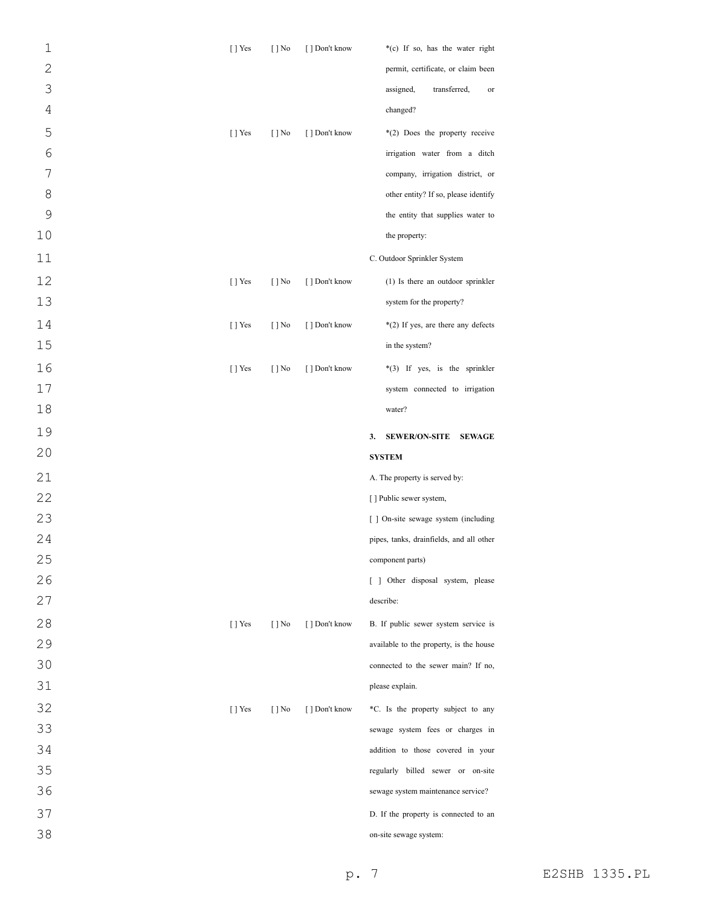| $\mathbf 1$    | $[ ]$ Yes      | $[ ]$ No                 | [ ] Don't know | *(c) If so, has the water right                                 |
|----------------|----------------|--------------------------|----------------|-----------------------------------------------------------------|
| $\overline{2}$ |                |                          |                | permit, certificate, or claim been                              |
| 3              |                |                          |                | assigned,<br>transferred,<br>or                                 |
| $\overline{4}$ |                |                          |                | changed?                                                        |
| 5              | $[ ]$ Yes      | $[ ]$ No                 | [ ] Don't know | *(2) Does the property receive                                  |
| 6              |                |                          |                | irrigation water from a ditch                                   |
| 7              |                |                          |                | company, irrigation district, or                                |
| 8              |                |                          |                | other entity? If so, please identify                            |
| $\mathsf 9$    |                |                          |                | the entity that supplies water to                               |
| 10             |                |                          |                | the property:                                                   |
| 11             |                |                          |                | C. Outdoor Sprinkler System                                     |
| 12             | $[ ]$ Yes      | $[ ]$ No                 | [ ] Don't know | (1) Is there an outdoor sprinkler                               |
| 13             |                |                          |                | system for the property?                                        |
| 14             | [] Yes         | $[ ]$ No                 | [ ] Don't know | *(2) If yes, are there any defects                              |
| 15             |                |                          |                | in the system?                                                  |
| 16             | [] Yes         | $[ ]$ No                 | [ ] Don't know | *(3) If yes, is the sprinkler                                   |
| 17             |                |                          |                | system connected to irrigation                                  |
| 18             |                |                          |                | water?                                                          |
|                |                |                          |                |                                                                 |
| 19             |                |                          |                |                                                                 |
| 20             |                |                          |                | <b>SEWER/ON-SITE</b><br><b>SEWAGE</b><br>3.                     |
|                |                |                          |                | <b>SYSTEM</b>                                                   |
| 21             |                |                          |                | A. The property is served by:                                   |
| 22             |                |                          |                | [] Public sewer system,<br>[ ] On-site sewage system (including |
| 23             |                |                          |                | pipes, tanks, drainfields, and all other                        |
| 24<br>25       |                |                          |                | component parts)                                                |
| 26             |                |                          |                | [ ] Other disposal system, please                               |
| 27             |                |                          |                | describe:                                                       |
| 28             | $\lceil$   Yes | $\lceil \cdot \rceil$ No | [ ] Don't know | B. If public sewer system service is                            |
| 29             |                |                          |                | available to the property, is the house                         |
| 30             |                |                          |                | connected to the sewer main? If no,                             |
| 31             |                |                          |                | please explain.                                                 |
| 32             | [] Yes         | $\lceil \cdot \rceil$ No | [ ] Don't know | *C. Is the property subject to any                              |
| 33             |                |                          |                | sewage system fees or charges in                                |
| 34             |                |                          |                | addition to those covered in your                               |
| 35             |                |                          |                | regularly billed sewer or on-site                               |
| 36             |                |                          |                | sewage system maintenance service?                              |
| 37             |                |                          |                | D. If the property is connected to an                           |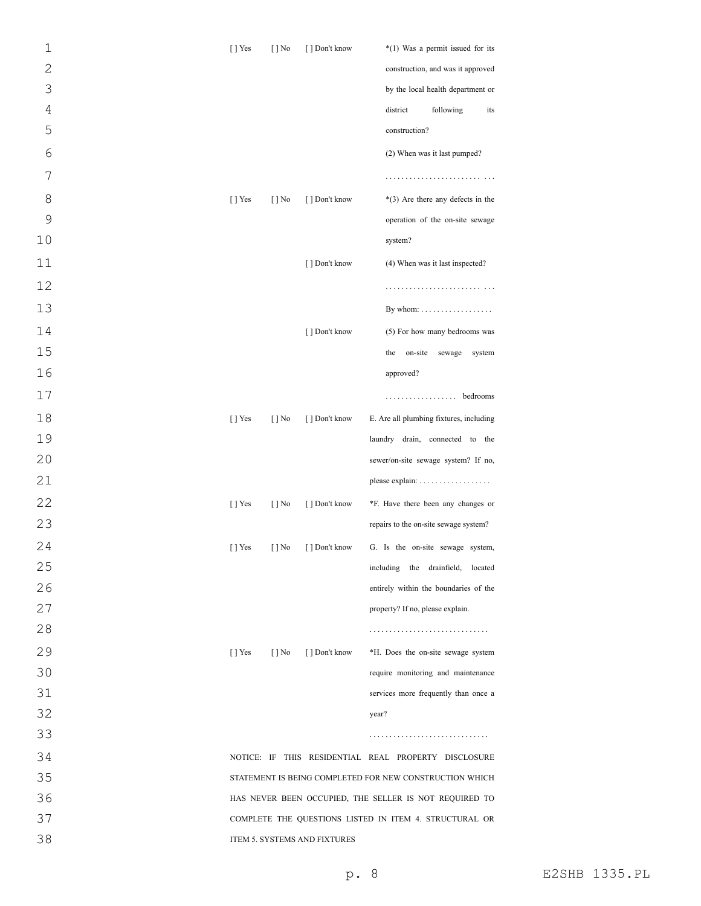| 1              | $[$ T Yes      | $[ ]$ No                 | [ ] Don't know               | *(1) Was a permit issued for its                        |
|----------------|----------------|--------------------------|------------------------------|---------------------------------------------------------|
| $\overline{c}$ |                |                          |                              | construction, and was it approved                       |
| 3              |                |                          |                              | by the local health department or                       |
| $\overline{4}$ |                |                          |                              | district<br>following<br>its                            |
| 5              |                |                          |                              | construction?                                           |
| 6              |                |                          |                              | (2) When was it last pumped?                            |
| 7              |                |                          |                              |                                                         |
| 8              | $[$ T Yes      | $[ ]$ No                 | [ ] Don't know               | $*(3)$ Are there any defects in the                     |
| 9              |                |                          |                              | operation of the on-site sewage                         |
| 10             |                |                          |                              | system?                                                 |
| 11             |                |                          | [ ] Don't know               | (4) When was it last inspected?                         |
| 12             |                |                          |                              |                                                         |
| 13             |                |                          |                              | By whom: $\dots \dots \dots \dots \dots \dots$          |
| 14             |                |                          | [ ] Don't know               | (5) For how many bedrooms was                           |
| 15             |                |                          |                              | the<br>on-site<br>sewage<br>system                      |
| 16             |                |                          |                              | approved?                                               |
| 17             |                |                          |                              | . bedrooms                                              |
| 18             | $[$ T Yes      | $[ ]$ No                 | [ ] Don't know               | E. Are all plumbing fixtures, including                 |
| 19             |                |                          |                              | laundry drain, connected to the                         |
| 20             |                |                          |                              | sewer/on-site sewage system? If no,                     |
| 21             |                |                          |                              |                                                         |
| 22             | $[$ T Yes      | $[ ]$ No                 | [ ] Don't know               | *F. Have there been any changes or                      |
| 23             |                |                          |                              | repairs to the on-site sewage system?                   |
| 24             | [ ] Yes        | $\left[\ \right]$ No     | $\left[\ \right]$ Don't know | G. Is the on-site sewage system,                        |
| 25             |                |                          |                              | including the drainfield, located                       |
| 26             |                |                          |                              | entirely within the boundaries of the                   |
| 27             |                |                          |                              | property? If no, please explain.                        |
| 28             |                |                          |                              |                                                         |
| 29             | $\lceil$   Yes | $\lceil \cdot \rceil$ No | [ ] Don't know               | *H. Does the on-site sewage system                      |
| 30             |                |                          |                              | require monitoring and maintenance                      |
| 31             |                |                          |                              | services more frequently than once a                    |
| 32             |                |                          |                              | year?                                                   |
| 33             |                |                          |                              |                                                         |
| 34             |                |                          |                              | NOTICE: IF THIS RESIDENTIAL REAL PROPERTY DISCLOSURE    |
| 35             |                |                          |                              | STATEMENT IS BEING COMPLETED FOR NEW CONSTRUCTION WHICH |
| 36             |                |                          |                              | HAS NEVER BEEN OCCUPIED, THE SELLER IS NOT REQUIRED TO  |
| 37             |                |                          |                              | COMPLETE THE QUESTIONS LISTED IN ITEM 4. STRUCTURAL OR  |
| 38             |                |                          | ITEM 5. SYSTEMS AND FIXTURES |                                                         |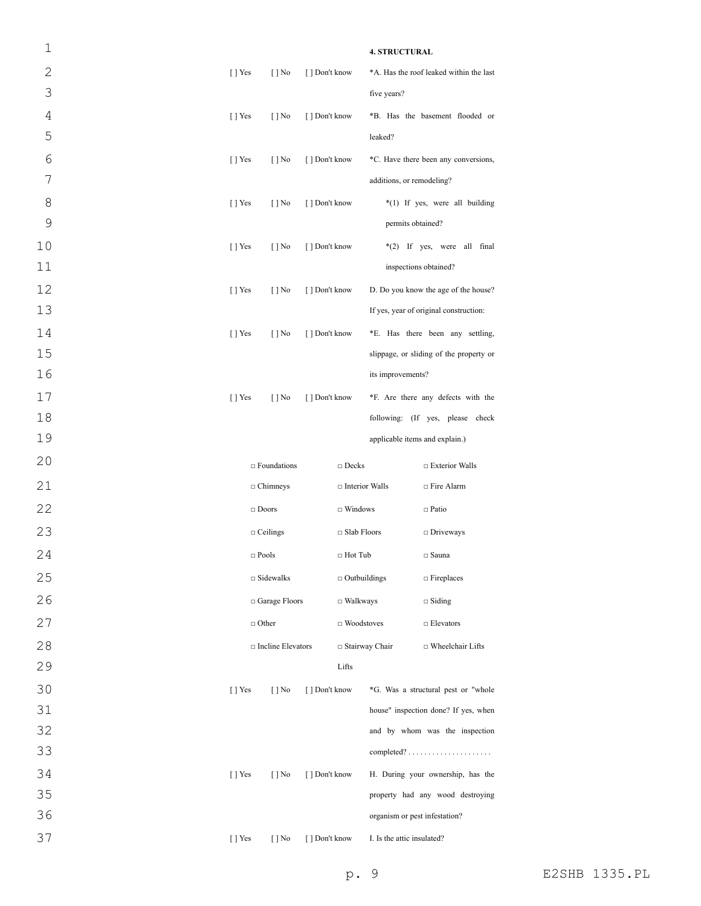| 1            |           |                          |                |                       | <b>4. STRUCTURAL</b>           |                                         |
|--------------|-----------|--------------------------|----------------|-----------------------|--------------------------------|-----------------------------------------|
| $\mathbf{2}$ | $[$ T Yes | $\lceil \cdot \rceil$ No | [] Don't know  |                       |                                | *A. Has the roof leaked within the last |
| 3            |           |                          |                |                       | five years?                    |                                         |
| 4            | $[$ T Yes | $[ ]$ No                 | [] Don't know  |                       |                                | *B. Has the basement flooded or         |
| 5            |           |                          |                |                       | leaked?                        |                                         |
| 6            | $[$ T Yes | $[$ ] No                 | [] Don't know  |                       |                                | *C. Have there been any conversions,    |
| 7            |           |                          |                |                       | additions, or remodeling?      |                                         |
| 8            | $[$ T Yes | $[ ]$ No                 | [ ] Don't know |                       |                                | *(1) If yes, were all building          |
| 9            |           |                          |                |                       | permits obtained?              |                                         |
| 10           | $[$ T Yes | $[ ]$ No                 | [ ] Don't know |                       |                                | *(2) If yes, were all final             |
| 11           |           |                          |                |                       |                                | inspections obtained?                   |
| 12           | $[$ T Yes | $[$ ] No                 | [ ] Don't know |                       |                                | D. Do you know the age of the house?    |
| 13           |           |                          |                |                       |                                | If yes, year of original construction:  |
| 14           | $[$ T Yes | $[$ ] No                 | [ ] Don't know |                       |                                | *E. Has there been any settling,        |
| 15           |           |                          |                |                       |                                | slippage, or sliding of the property or |
| 16           |           |                          |                |                       | its improvements?              |                                         |
| 17           | $[ ]$ Yes | $[ ]$ No                 | [] Don't know  |                       |                                | *F. Are there any defects with the      |
| 18           |           |                          |                |                       |                                | following: (If yes, please check        |
| 19           |           |                          |                |                       | applicable items and explain.) |                                         |
| 20           |           | $\Box$ Foundations       |                | $\Box$ Decks          |                                | □ Exterior Walls                        |
| 21           |           | $\Box$ Chimneys          |                | $\Box$ Interior Walls |                                | □ Fire Alarm                            |
| 22           |           | $\Box$ Doors             |                | $\Box$ Windows        |                                | $\Box$ Patio                            |
|              |           |                          |                |                       |                                |                                         |
| 23           |           | $\Box$ Ceilings          |                | □ Slab Floors         |                                | $\Box$ Driveways                        |
| 24           |           | $\Box$ Pools             |                | $\Box$ Hot Tub        |                                | $\Box$ Sauna                            |
| 25           |           | $\Box$ Sidewalks         |                | $\Box$ Outbuildings   |                                | $\Box$ Fireplaces                       |
| 26           |           | $\Box$ Garage Floors     |                | $\Box$ Walkways       |                                | $\Box$ Siding                           |
| 27           |           | $\Box$ Other             |                | $\Box$ Woodstoves     |                                | $\Box$ Elevators                        |
| 28           |           | □ Incline Elevators      |                | □ Stairway Chair      |                                | □ Wheelchair Lifts                      |
| 29           |           |                          |                | Lifts                 |                                |                                         |
| 30           | [] Yes    | $[ ]$ No                 | [ ] Don't know |                       |                                | *G. Was a structural pest or "whole     |
| 31           |           |                          |                |                       |                                | house" inspection done? If yes, when    |
| 32           |           |                          |                |                       |                                | and by whom was the inspection          |
| 33           |           |                          |                |                       |                                |                                         |
| 34           | $[ ]$ Yes | $[$ ] No                 | [ ] Don't know |                       |                                | H. During your ownership, has the       |
| 35           |           |                          |                |                       |                                | property had any wood destroying        |
| 36           |           |                          |                |                       | organism or pest infestation?  |                                         |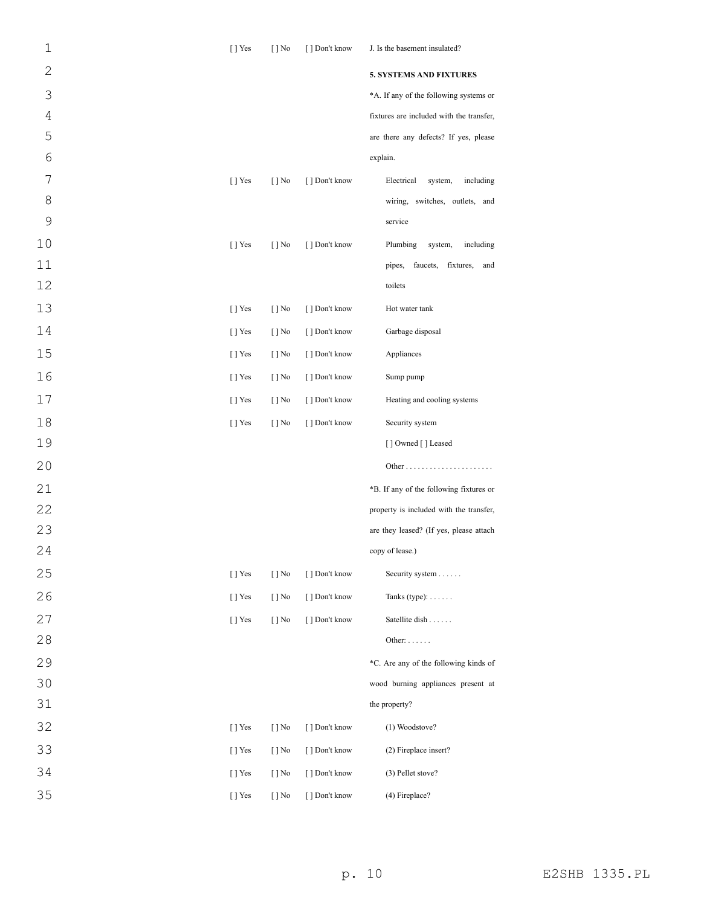| $\mathbf 1$    | $\lceil$   Yes | $\lceil \cdot \rceil$ No | [ ] Don't know | J. Is the basement insulated?            |
|----------------|----------------|--------------------------|----------------|------------------------------------------|
| $\mathbf{2}$   |                |                          |                | <b>5. SYSTEMS AND FIXTURES</b>           |
| 3              |                |                          |                | *A. If any of the following systems or   |
| $\overline{4}$ |                |                          |                | fixtures are included with the transfer, |
| 5              |                |                          |                | are there any defects? If yes, please    |
| 6              |                |                          |                | explain.                                 |
| 7              | $[$ T Yes      | $[$ ] No                 | [ ] Don't know | Electrical<br>system,<br>including       |
| 8              |                |                          |                | wiring, switches, outlets, and           |
| 9              |                |                          |                | service                                  |
| 10             | [] Yes         | $[ ]$ No                 | [ ] Don't know | Plumbing<br>system,<br>including         |
| 11             |                |                          |                | faucets, fixtures, and<br>pipes,         |
| 12             |                |                          |                | toilets                                  |
| 13             | [] Yes         | $[ ]$ No                 | [ ] Don't know | Hot water tank                           |
| 14             | $[$ T Yes      | $[$ ] No                 | [] Don't know  | Garbage disposal                         |
| 15             | [] Yes         | $[ ]$ No                 | [] Don't know  | Appliances                               |
| 16             | $[$ T Yes      | $[$ ] No                 | [ ] Don't know | Sump pump                                |
| 17             | $[$ T Yes      | $[$ ] No                 | [ ] Don't know | Heating and cooling systems              |
| 18             | [] Yes         | $[ ]$ No                 | [ ] Don't know | Security system                          |
| 19             |                |                          |                | [] Owned [] Leased                       |
| 20             |                |                          |                |                                          |
| 21             |                |                          |                | *B. If any of the following fixtures or  |
| 22             |                |                          |                | property is included with the transfer,  |
| 23             |                |                          |                | are they leased? (If yes, please attach  |
| 24             |                |                          |                | copy of lease.)                          |
| 25             | [ ] Yes        | $[ ]$ No                 | [ ] Don't know | Security system                          |
| 26             | [ ] Yes        | $[ ]$ No                 | [ ] Don't know | Tanks (type): $\dots$ .                  |
| 27             | $[$ T Yes      | $[ ]$ No                 | [] Don't know  | Satellite dish                           |
| 28             |                |                          |                | Other: $\dots$                           |
| 29             |                |                          |                | *C. Are any of the following kinds of    |
| 30             |                |                          |                | wood burning appliances present at       |
| 31             |                |                          |                | the property?                            |
| 32             | [ ] Yes        | $[ ]$ No                 | [ ] Don't know | (1) Woodstove?                           |
| 33             | $[$ T Yes      | $[$ ] No                 | [ ] Don't know | (2) Fireplace insert?                    |
| 34             | [ ] Yes        | $\lceil \cdot \rceil$ No | [ ] Don't know | (3) Pellet stove?                        |
| 35             | [ ] Yes        | $[ ]$ No                 | [] Don't know  | (4) Fireplace?                           |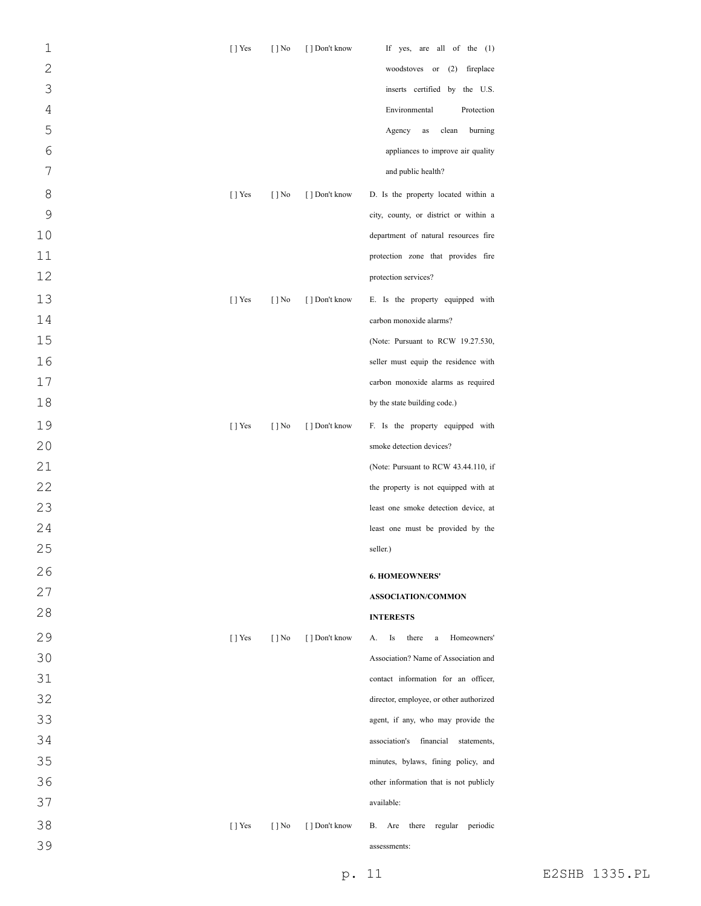| $\mathbf 1$    | [] Yes    | $[ ]$ No                 | [] Don't know  | If yes, are all of the (1)                   |
|----------------|-----------|--------------------------|----------------|----------------------------------------------|
| $\overline{2}$ |           |                          |                | woodstoves or (2) fireplace                  |
| 3              |           |                          |                | inserts certified by the U.S.                |
| $\sqrt{4}$     |           |                          |                | Environmental<br>Protection                  |
| 5              |           |                          |                | Agency<br>clean<br>burning<br>as             |
| 6              |           |                          |                | appliances to improve air quality            |
| 7              |           |                          |                | and public health?                           |
| 8              | $[$ T Yes | $\lceil \cdot \rceil$ No | [ ] Don't know | D. Is the property located within a          |
| 9              |           |                          |                | city, county, or district or within a        |
| 10             |           |                          |                | department of natural resources fire         |
| 11             |           |                          |                | protection zone that provides fire           |
| 12             |           |                          |                | protection services?                         |
| 13             | $[ ]$ Yes | $\lceil \cdot \rceil$ No | [ ] Don't know | E. Is the property equipped with             |
| 14             |           |                          |                | carbon monoxide alarms?                      |
| 15             |           |                          |                | (Note: Pursuant to RCW 19.27.530,            |
| 16             |           |                          |                | seller must equip the residence with         |
| 17             |           |                          |                | carbon monoxide alarms as required           |
| 18             |           |                          |                | by the state building code.)                 |
| 19             | [] Yes    | $[ ]$ No                 | [ ] Don't know | F. Is the property equipped with             |
| 20             |           |                          |                | smoke detection devices?                     |
| 21             |           |                          |                | (Note: Pursuant to RCW 43.44.110, if         |
| 22             |           |                          |                | the property is not equipped with at         |
| 23             |           |                          |                | least one smoke detection device, at         |
| 24             |           |                          |                | least one must be provided by the            |
| 25             |           |                          |                | seller.)                                     |
| 26             |           |                          |                | <b>6. HOMEOWNERS'</b>                        |
| 27             |           |                          |                | ASSOCIATION/COMMON                           |
| 28             |           |                          |                | <b>INTERESTS</b>                             |
| 29             | $[$ T Yes | $\lceil \cdot \rceil$ No | [] Don't know  | Is<br>there<br>Homeowners'<br>А.<br>$\rm{a}$ |
| 30             |           |                          |                | Association? Name of Association and         |
| 31             |           |                          |                | contact information for an officer,          |
| 32             |           |                          |                | director, employee, or other authorized      |
| 33             |           |                          |                | agent, if any, who may provide the           |
| 34             |           |                          |                | association's<br>financial<br>statements,    |
| 35             |           |                          |                | minutes, bylaws, fining policy, and          |
| 36             |           |                          |                | other information that is not publicly       |
| 37             |           |                          |                | available:                                   |
| 38             | [] Yes    | $\lceil \cdot \rceil$ No | [ ] Don't know | there regular<br>periodic<br>В.<br>Are       |
| 39             |           |                          |                | assessments:                                 |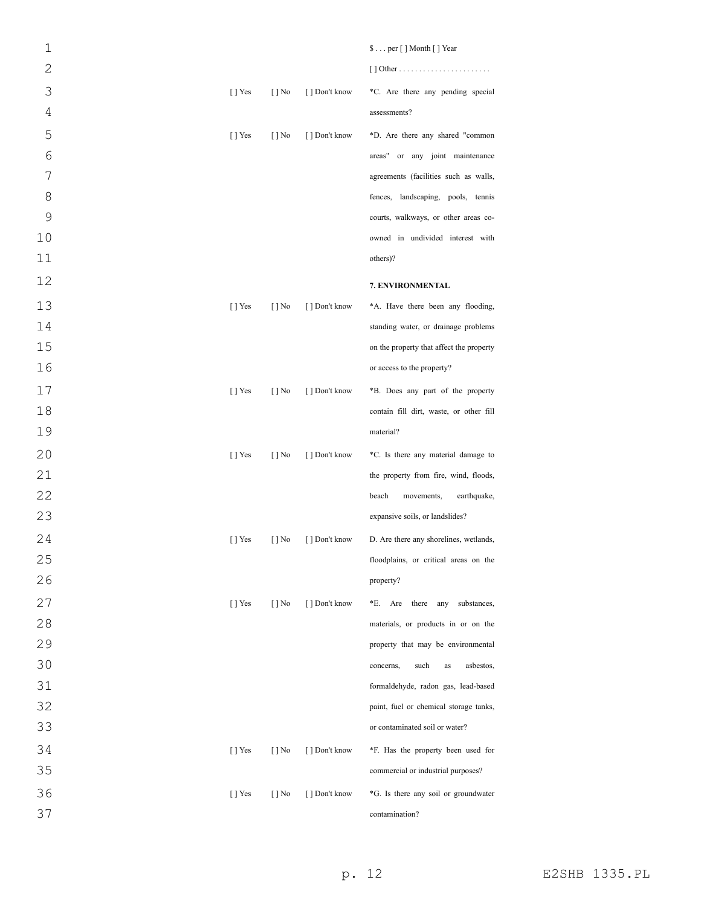| $\mathbf{1}$   |           |                          |                | \$per [] Month [] Year                   |
|----------------|-----------|--------------------------|----------------|------------------------------------------|
| $\overline{2}$ |           |                          |                |                                          |
| 3              | $[$ T Yes | $\lceil \cdot \rceil$ No | [ ] Don't know | *C. Are there any pending special        |
| $\overline{4}$ |           |                          |                | assessments?                             |
| 5              | $[$ T Yes | $[$   No                 | [ ] Don't know | *D. Are there any shared "common         |
| 6              |           |                          |                | areas" or any joint maintenance          |
| $\overline{7}$ |           |                          |                | agreements (facilities such as walls,    |
| 8              |           |                          |                | fences, landscaping, pools, tennis       |
| $\mathcal{G}$  |           |                          |                | courts, walkways, or other areas co-     |
| 10             |           |                          |                | owned in undivided interest with         |
| 11             |           |                          |                | others)?                                 |
| 12             |           |                          |                | 7. ENVIRONMENTAL                         |
| 13             | $[$ T Yes | $[ ]$ No                 | [ ] Don't know | *A. Have there been any flooding,        |
| 14             |           |                          |                | standing water, or drainage problems     |
| 15             |           |                          |                | on the property that affect the property |
| 16             |           |                          |                | or access to the property?               |
| 17             | $[$ T Yes | $[ ]$ No                 | [ ] Don't know | *B. Does any part of the property        |
| 18             |           |                          |                | contain fill dirt, waste, or other fill  |
| 19             |           |                          |                | material?                                |
| 20             | $[$ T Yes | $\lceil \cdot \rceil$ No | [ ] Don't know | *C. Is there any material damage to      |
| 21             |           |                          |                | the property from fire, wind, floods,    |
| 22             |           |                          |                | beach<br>earthquake,<br>movements,       |
| 23             |           |                          |                | expansive soils, or landslides?          |
| 24             | $[$ T Yes | $[ ]$ No                 | [ ] Don't know | D. Are there any shorelines, wetlands,   |
| 25             |           |                          |                | floodplains, or critical areas on the    |
| 26             |           |                          |                | property?                                |
| 27             | $[$ T Yes | $[ ]$ No                 | [ ] Don't know | *E.<br>Are<br>there any substances,      |
| 28             |           |                          |                | materials, or products in or on the      |
| 29             |           |                          |                | property that may be environmental       |
| 30             |           |                          |                | such<br>asbestos,<br>concerns,<br>as     |
| 31             |           |                          |                | formaldehyde, radon gas, lead-based      |
| 32             |           |                          |                | paint, fuel or chemical storage tanks,   |
| 33             |           |                          |                | or contaminated soil or water?           |
| 34             | $[$ T Yes | $\lceil \cdot \rceil$ No | [ ] Don't know | *F. Has the property been used for       |
| 35             |           |                          |                | commercial or industrial purposes?       |
| 36             | $[$ T Yes | $[ ]$ No                 | [ ] Don't know | *G. Is there any soil or groundwater     |
| 37             |           |                          |                | contamination?                           |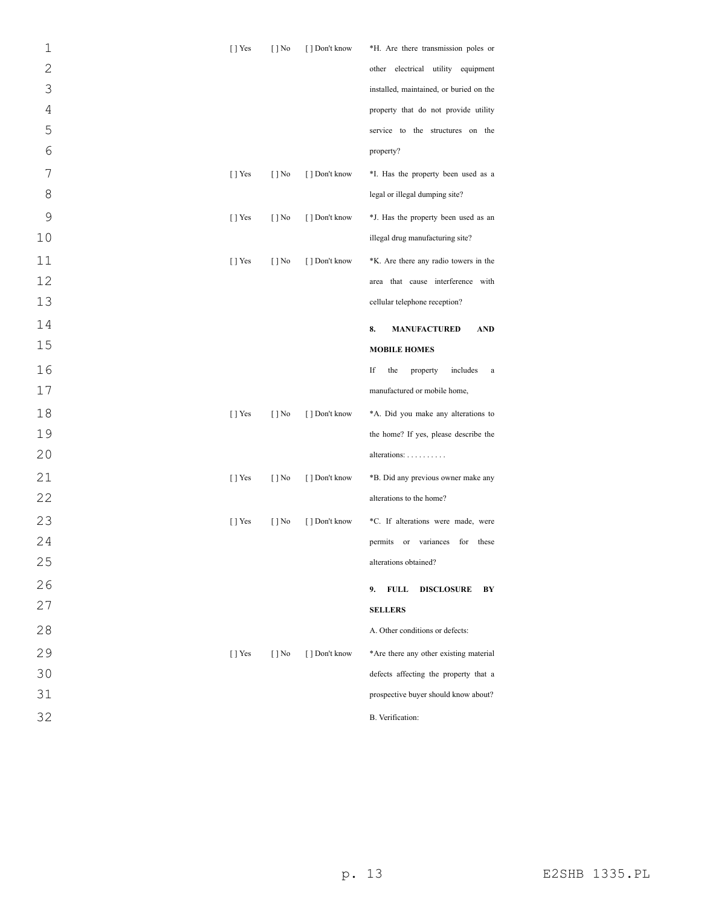| $\mathbf 1$    | [] Yes    | $[ ]$ No                 | [ ] Don't know | *H. Are there transmission poles or           |
|----------------|-----------|--------------------------|----------------|-----------------------------------------------|
| $\overline{2}$ |           |                          |                | other electrical utility equipment            |
| 3              |           |                          |                | installed, maintained, or buried on the       |
| $\overline{4}$ |           |                          |                | property that do not provide utility          |
| 5              |           |                          |                | service to the structures on the              |
| 6              |           |                          |                | property?                                     |
| 7              | $[ ]$ Yes | $[ ]$ No                 | [ ] Don't know | *I. Has the property been used as a           |
| 8              |           |                          |                | legal or illegal dumping site?                |
| 9              | $[$ T Yes | $[ ]$ No                 | [ ] Don't know | *J. Has the property been used as an          |
| 10             |           |                          |                | illegal drug manufacturing site?              |
| 11             | [] Yes    | $[ ]$ No                 | [ ] Don't know | *K. Are there any radio towers in the         |
| 12             |           |                          |                | area that cause interference with             |
| 13             |           |                          |                | cellular telephone reception?                 |
| 14             |           |                          |                | 8.<br><b>MANUFACTURED</b><br><b>AND</b>       |
| 15             |           |                          |                | <b>MOBILE HOMES</b>                           |
| 16             |           |                          |                | If<br>the<br>property<br>includes<br>$\rm{a}$ |
| $17$           |           |                          |                | manufactured or mobile home,                  |
| 18             | [] Yes    | $[ ]$ No                 | [ ] Don't know | *A. Did you make any alterations to           |
| 19             |           |                          |                | the home? If yes, please describe the         |
| 20             |           |                          |                | alterations:                                  |
| 21             | [] Yes    | $[ ]$ No                 | [ ] Don't know | *B. Did any previous owner make any           |
| 22             |           |                          |                | alterations to the home?                      |
| 23             | $[ ]$ Yes | $[ ]$ No                 | [ ] Don't know | *C. If alterations were made, were            |
| 24             |           |                          |                | variances<br>these<br>permits<br>or<br>for    |
| 25             |           |                          |                | alterations obtained?                         |
| 26             |           |                          |                | <b>FULL</b><br>9.<br><b>DISCLOSURE</b><br>BY  |
| 27             |           |                          |                | <b>SELLERS</b>                                |
| 28             |           |                          |                | A. Other conditions or defects:               |
| 29             | [ ] Yes   | $\lceil \cdot \rceil$ No | [] Don't know  | *Are there any other existing material        |
| 30             |           |                          |                | defects affecting the property that a         |
| 31             |           |                          |                | prospective buyer should know about?          |
| 32             |           |                          |                | B. Verification:                              |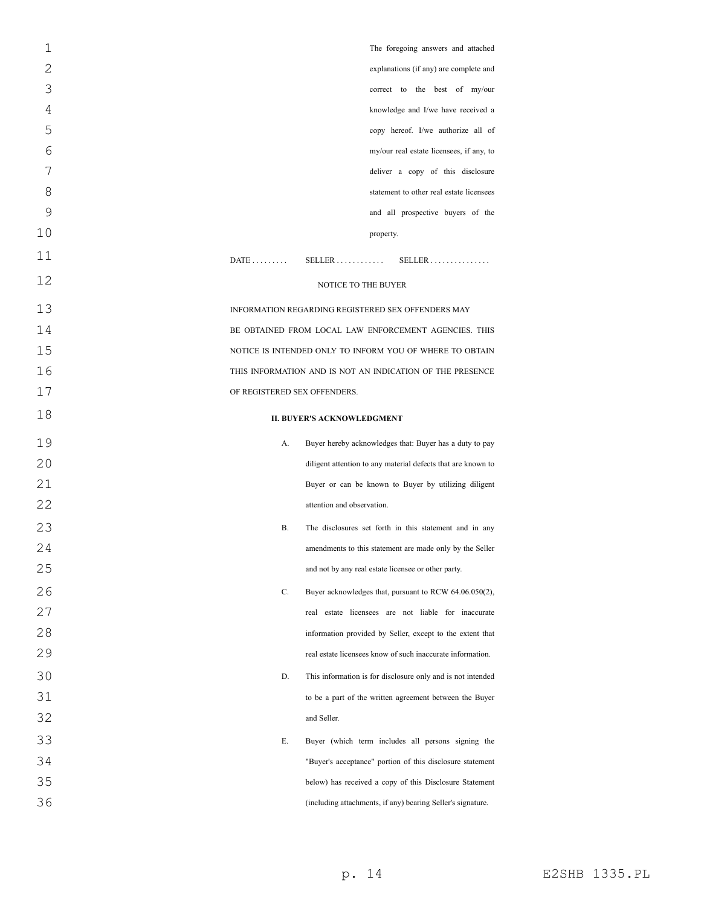| 1  | The foregoing answers and attached                                  |
|----|---------------------------------------------------------------------|
| 2  | explanations (if any) are complete and                              |
| 3  | correct to the best of my/our                                       |
| 4  | knowledge and I/we have received a                                  |
| 5  | copy hereof. I/we authorize all of                                  |
| 6  | my/our real estate licensees, if any, to                            |
| 7  | deliver a copy of this disclosure                                   |
| 8  | statement to other real estate licensees                            |
| 9  | and all prospective buyers of the                                   |
| 10 | property.                                                           |
| 11 | $DATE$<br>$SELLER \ldots \ldots \ldots$<br>$SELECT R$               |
| 12 | NOTICE TO THE BUYER                                                 |
| 13 | INFORMATION REGARDING REGISTERED SEX OFFENDERS MAY                  |
| 14 | BE OBTAINED FROM LOCAL LAW ENFORCEMENT AGENCIES. THIS               |
| 15 | NOTICE IS INTENDED ONLY TO INFORM YOU OF WHERE TO OBTAIN            |
| 16 | THIS INFORMATION AND IS NOT AN INDICATION OF THE PRESENCE           |
| 17 | OF REGISTERED SEX OFFENDERS.                                        |
| 18 | <b>II. BUYER'S ACKNOWLEDGMENT</b>                                   |
| 19 | А.<br>Buyer hereby acknowledges that: Buyer has a duty to pay       |
| 20 | diligent attention to any material defects that are known to        |
| 21 | Buyer or can be known to Buyer by utilizing diligent                |
| 22 | attention and observation.                                          |
| 23 | <b>B.</b><br>The disclosures set forth in this statement and in any |
| 24 | amendments to this statement are made only by the Seller            |
| 25 | and not by any real estate licensee or other party.                 |
| 26 | C.<br>Buyer acknowledges that, pursuant to RCW 64.06.050(2),        |
| 27 | real estate licensees are not liable for inaccurate                 |
| 28 | information provided by Seller, except to the extent that           |
| 29 | real estate licensees know of such inaccurate information.          |
| 30 | D.<br>This information is for disclosure only and is not intended   |
| 31 | to be a part of the written agreement between the Buyer             |
| 32 | and Seller.                                                         |
| 33 | Е.<br>Buyer (which term includes all persons signing the            |
| 34 | "Buyer's acceptance" portion of this disclosure statement           |
| 35 | below) has received a copy of this Disclosure Statement             |
| 36 | (including attachments, if any) bearing Seller's signature.         |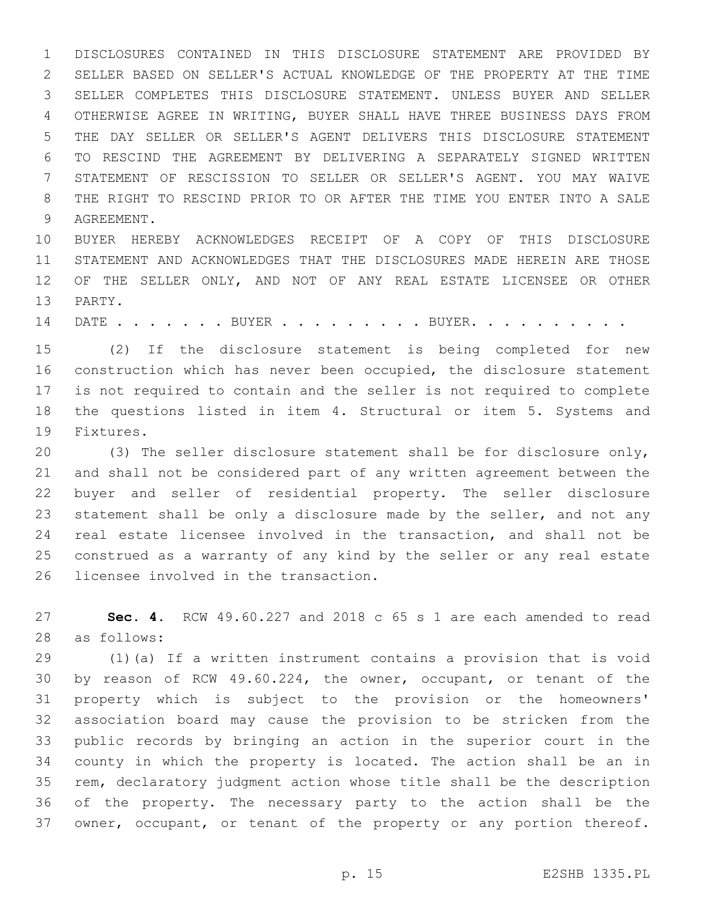DISCLOSURES CONTAINED IN THIS DISCLOSURE STATEMENT ARE PROVIDED BY SELLER BASED ON SELLER'S ACTUAL KNOWLEDGE OF THE PROPERTY AT THE TIME SELLER COMPLETES THIS DISCLOSURE STATEMENT. UNLESS BUYER AND SELLER OTHERWISE AGREE IN WRITING, BUYER SHALL HAVE THREE BUSINESS DAYS FROM THE DAY SELLER OR SELLER'S AGENT DELIVERS THIS DISCLOSURE STATEMENT TO RESCIND THE AGREEMENT BY DELIVERING A SEPARATELY SIGNED WRITTEN STATEMENT OF RESCISSION TO SELLER OR SELLER'S AGENT. YOU MAY WAIVE THE RIGHT TO RESCIND PRIOR TO OR AFTER THE TIME YOU ENTER INTO A SALE 9 AGREEMENT.

 BUYER HEREBY ACKNOWLEDGES RECEIPT OF A COPY OF THIS DISCLOSURE STATEMENT AND ACKNOWLEDGES THAT THE DISCLOSURES MADE HEREIN ARE THOSE OF THE SELLER ONLY, AND NOT OF ANY REAL ESTATE LICENSEE OR OTHER 13 PARTY.

14 DATE . . . . . . BUYER . . . . . . . . BUYER. . . . . . . . . .

 (2) If the disclosure statement is being completed for new construction which has never been occupied, the disclosure statement is not required to contain and the seller is not required to complete 18 the questions listed in item 4. Structural or item 5. Systems and 19 Fixtures.

 (3) The seller disclosure statement shall be for disclosure only, and shall not be considered part of any written agreement between the buyer and seller of residential property. The seller disclosure 23 statement shall be only a disclosure made by the seller, and not any real estate licensee involved in the transaction, and shall not be construed as a warranty of any kind by the seller or any real estate 26 licensee involved in the transaction.

 **Sec. 4.** RCW 49.60.227 and 2018 c 65 s 1 are each amended to read 28 as follows:

 (1)(a) If a written instrument contains a provision that is void by reason of RCW 49.60.224, the owner, occupant, or tenant of the property which is subject to the provision or the homeowners' association board may cause the provision to be stricken from the public records by bringing an action in the superior court in the county in which the property is located. The action shall be an in rem, declaratory judgment action whose title shall be the description of the property. The necessary party to the action shall be the owner, occupant, or tenant of the property or any portion thereof.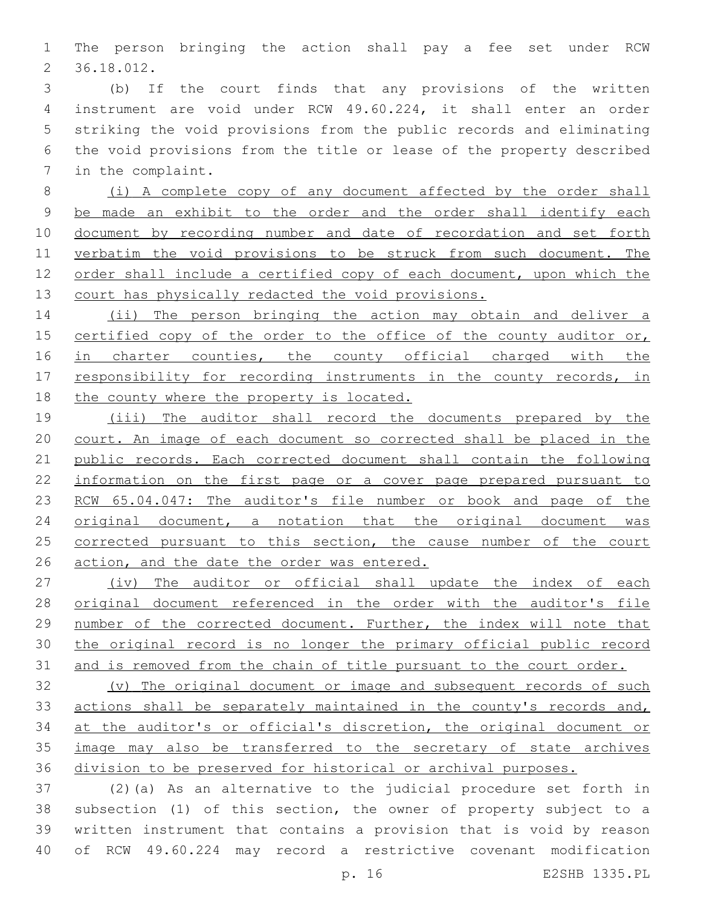The person bringing the action shall pay a fee set under RCW 36.18.012.2

 (b) If the court finds that any provisions of the written instrument are void under RCW 49.60.224, it shall enter an order striking the void provisions from the public records and eliminating the void provisions from the title or lease of the property described 7 in the complaint.

 (i) A complete copy of any document affected by the order shall be made an exhibit to the order and the order shall identify each 10 document by recording number and date of recordation and set forth 11 verbatim the void provisions to be struck from such document. The order shall include a certified copy of each document, upon which the court has physically redacted the void provisions.

14 (ii) The person bringing the action may obtain and deliver a 15 certified copy of the order to the office of the county auditor or, 16 in charter counties, the county official charged with the 17 responsibility for recording instruments in the county records, in 18 the county where the property is located.

 (iii) The auditor shall record the documents prepared by the court. An image of each document so corrected shall be placed in the public records. Each corrected document shall contain the following information on the first page or a cover page prepared pursuant to 23 RCW 65.04.047: The auditor's file number or book and page of the original document, a notation that the original document was corrected pursuant to this section, the cause number of the court action, and the date the order was entered.

 (iv) The auditor or official shall update the index of each original document referenced in the order with the auditor's file number of the corrected document. Further, the index will note that the original record is no longer the primary official public record 31 and is removed from the chain of title pursuant to the court order.

 (v) The original document or image and subsequent records of such actions shall be separately maintained in the county's records and, at the auditor's or official's discretion, the original document or image may also be transferred to the secretary of state archives division to be preserved for historical or archival purposes.

 (2)(a) As an alternative to the judicial procedure set forth in subsection (1) of this section, the owner of property subject to a written instrument that contains a provision that is void by reason of RCW 49.60.224 may record a restrictive covenant modification

p. 16 E2SHB 1335.PL